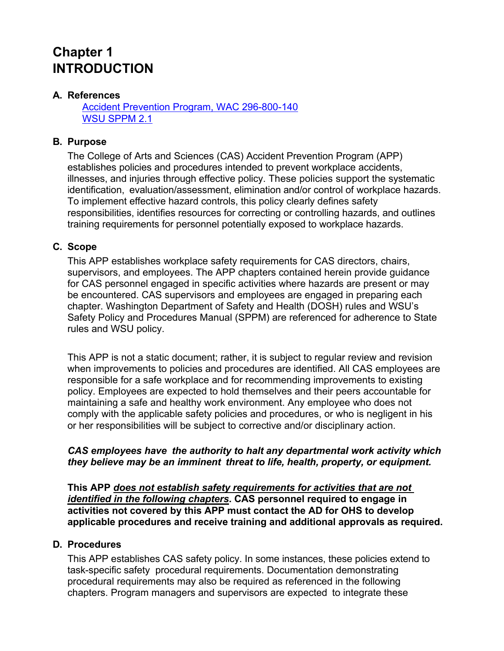# **Chapter 1 INTRODUCTION**

# **A. References**

Accident Prevention Program, WAC 296-800-140 WSU SPPM 2.1

## **B. Purpose**

The College of Arts and Sciences (CAS) Accident Prevention Program (APP) establishes policies and procedures intended to prevent workplace accidents, illnesses, and injuries through effective policy. These policies support the systematic identification, evaluation/assessment, elimination and/or control of workplace hazards. To implement effective hazard controls, this policy clearly defines safety responsibilities, identifies resources for correcting or controlling hazards, and outlines training requirements for personnel potentially exposed to workplace hazards.

#### **C. Scope**

This APP establishes workplace safety requirements for CAS directors, chairs, supervisors, and employees. The APP chapters contained herein provide guidance for CAS personnel engaged in specific activities where hazards are present or may be encountered. CAS supervisors and employees are engaged in preparing each chapter. Washington Department of Safety and Health (DOSH) rules and WSU's Safety Policy and Procedures Manual (SPPM) are referenced for adherence to State rules and WSU policy.

This APP is not a static document; rather, it is subject to regular review and revision when improvements to policies and procedures are identified. All CAS employees are responsible for a safe workplace and for recommending improvements to existing policy. Employees are expected to hold themselves and their peers accountable for maintaining a safe and healthy work environment. Any employee who does not comply with the applicable safety policies and procedures, or who is negligent in his or her responsibilities will be subject to corrective and/or disciplinary action.

#### *CAS employees have the authority to halt any departmental work activity which they believe may be an imminent threat to life, health, property, or equipment.*

**This APP** *does not establish safety requirements for activities that are not identified in the following chapters***. CAS personnel required to engage in activities not covered by this APP must contact the AD for OHS to develop applicable procedures and receive training and additional approvals as required.**

## **D. Procedures**

This APP establishes CAS safety policy. In some instances, these policies extend to task-specific safety procedural requirements. Documentation demonstrating procedural requirements may also be required as referenced in the following chapters. Program managers and supervisors are expected to integrate these